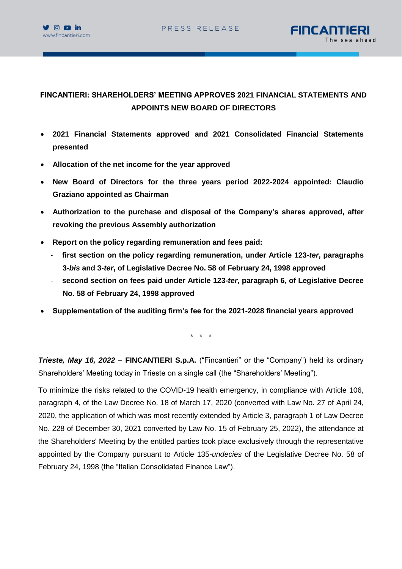



# **FINCANTIERI: SHAREHOLDERS' MEETING APPROVES 2021 FINANCIAL STATEMENTS AND APPOINTS NEW BOARD OF DIRECTORS**

- **2021 Financial Statements approved and 2021 Consolidated Financial Statements presented**
- **Allocation of the net income for the year approved**
- **New Board of Directors for the three years period 2022-2024 appointed: Claudio Graziano appointed as Chairman**
- **Authorization to the purchase and disposal of the Company's shares approved, after revoking the previous Assembly authorization**
- **Report on the policy regarding remuneration and fees paid:**
	- **first section on the policy regarding remuneration, under Article 123-***ter***, paragraphs 3-***bis* **and 3-***ter***, of Legislative Decree No. 58 of February 24, 1998 approved**
	- **second section on fees paid under Article 123-***ter***, paragraph 6, of Legislative Decree No. 58 of February 24, 1998 approved**
- **Supplementation of the auditing firm's fee for the 2021-2028 financial years approved**

\* \* \*

*Trieste, May 16, 2022* – **FINCANTIERI S.p.A.** ("Fincantieri" or the "Company") held its ordinary Shareholders' Meeting today in Trieste on a single call (the "Shareholders' Meeting").

To minimize the risks related to the COVID-19 health emergency, in compliance with Article 106, paragraph 4, of the Law Decree No. 18 of March 17, 2020 (converted with Law No. 27 of April 24, 2020, the application of which was most recently extended by Article 3, paragraph 1 of Law Decree No. 228 of December 30, 2021 converted by Law No. 15 of February 25, 2022), the attendance at the Shareholders' Meeting by the entitled parties took place exclusively through the representative appointed by the Company pursuant to Article 135-*undecies* of the Legislative Decree No. 58 of February 24, 1998 (the "Italian Consolidated Finance Law").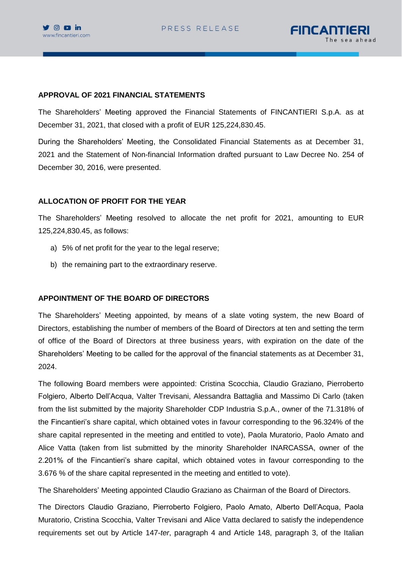

#### **APPROVAL OF 2021 FINANCIAL STATEMENTS**

The Shareholders' Meeting approved the Financial Statements of FINCANTIERI S.p.A. as at December 31, 2021, that closed with a profit of EUR 125,224,830.45.

During the Shareholders' Meeting, the Consolidated Financial Statements as at December 31, 2021 and the Statement of Non-financial Information drafted pursuant to Law Decree No. 254 of December 30, 2016, were presented.

### **ALLOCATION OF PROFIT FOR THE YEAR**

The Shareholders' Meeting resolved to allocate the net profit for 2021, amounting to EUR 125,224,830.45, as follows:

- a) 5% of net profit for the year to the legal reserve;
- b) the remaining part to the extraordinary reserve.

### **APPOINTMENT OF THE BOARD OF DIRECTORS**

The Shareholders' Meeting appointed, by means of a slate voting system, the new Board of Directors, establishing the number of members of the Board of Directors at ten and setting the term of office of the Board of Directors at three business years, with expiration on the date of the Shareholders' Meeting to be called for the approval of the financial statements as at December 31, 2024.

The following Board members were appointed: Cristina Scocchia, Claudio Graziano, Pierroberto Folgiero, Alberto Dell'Acqua, Valter Trevisani, Alessandra Battaglia and Massimo Di Carlo (taken from the list submitted by the majority Shareholder CDP Industria S.p.A., owner of the 71.318% of the Fincantieri's share capital, which obtained votes in favour corresponding to the 96.324% of the share capital represented in the meeting and entitled to vote), Paola Muratorio, Paolo Amato and Alice Vatta (taken from list submitted by the minority Shareholder INARCASSA, owner of the 2.201% of the Fincantieri's share capital, which obtained votes in favour corresponding to the 3.676 % of the share capital represented in the meeting and entitled to vote).

The Shareholders' Meeting appointed Claudio Graziano as Chairman of the Board of Directors.

The Directors Claudio Graziano, Pierroberto Folgiero, Paolo Amato, Alberto Dell'Acqua, Paola Muratorio, Cristina Scocchia, Valter Trevisani and Alice Vatta declared to satisfy the independence requirements set out by Article 147-*ter*, paragraph 4 and Article 148, paragraph 3, of the Italian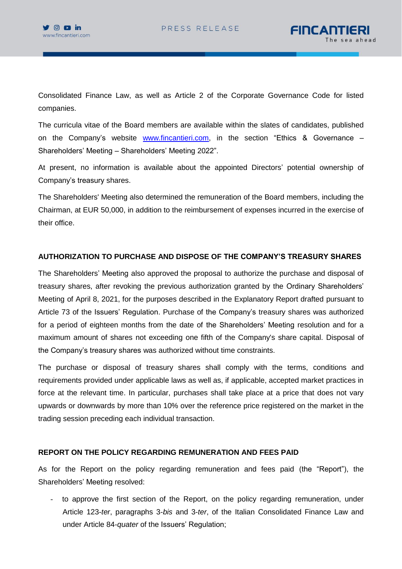

Consolidated Finance Law, as well as Article 2 of the Corporate Governance Code for listed companies.

The curricula vitae of the Board members are available within the slates of candidates, published on the Company's website [www.fincantieri.com,](http://www.fincantieri.com/) in the section "Ethics & Governance – Shareholders' Meeting – Shareholders' Meeting 2022".

At present, no information is available about the appointed Directors' potential ownership of Company's treasury shares.

The Shareholders' Meeting also determined the remuneration of the Board members, including the Chairman, at EUR 50,000, in addition to the reimbursement of expenses incurred in the exercise of their office.

### **AUTHORIZATION TO PURCHASE AND DISPOSE OF THE COMPANY'S TREASURY SHARES**

The Shareholders' Meeting also approved the proposal to authorize the purchase and disposal of treasury shares, after revoking the previous authorization granted by the Ordinary Shareholders' Meeting of April 8, 2021, for the purposes described in the Explanatory Report drafted pursuant to Article 73 of the Issuers' Regulation. Purchase of the Company's treasury shares was authorized for a period of eighteen months from the date of the Shareholders' Meeting resolution and for a maximum amount of shares not exceeding one fifth of the Company's share capital. Disposal of the Company's treasury shares was authorized without time constraints.

The purchase or disposal of treasury shares shall comply with the terms, conditions and requirements provided under applicable laws as well as, if applicable, accepted market practices in force at the relevant time. In particular, purchases shall take place at a price that does not vary upwards or downwards by more than 10% over the reference price registered on the market in the trading session preceding each individual transaction.

### **REPORT ON THE POLICY REGARDING REMUNERATION AND FEES PAID**

As for the Report on the policy regarding remuneration and fees paid (the "Report"), the Shareholders' Meeting resolved:

to approve the first section of the Report, on the policy regarding remuneration, under Article 123-*ter*, paragraphs 3-*bis* and 3-*ter*, of the Italian Consolidated Finance Law and under Article 84-*quater* of the Issuers' Regulation;